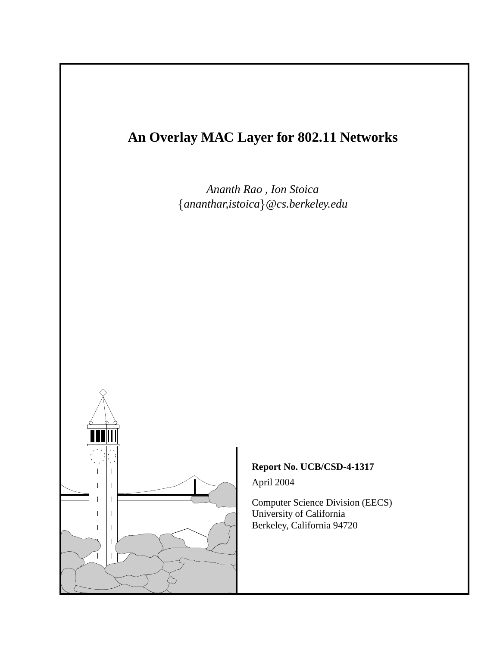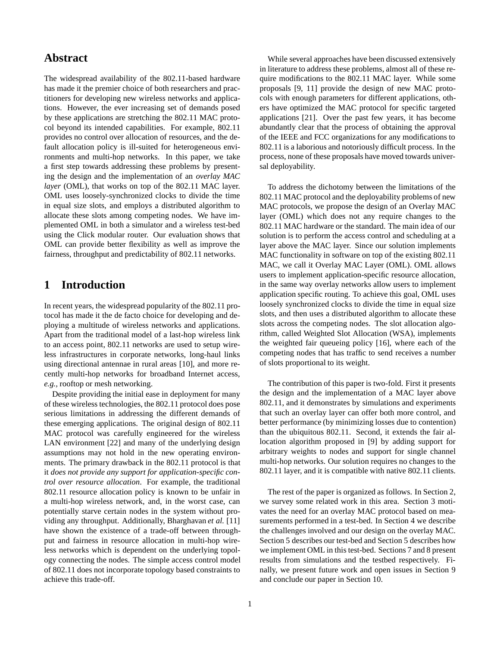## **Abstract**

The widespread availability of the 802.11-based hardware has made it the premier choice of both researchers and practitioners for developing new wireless networks and applications. However, the ever increasing set of demands posed by these applications are stretching the 802.11 MAC protocol beyond its intended capabilities. For example, 802.11 provides no control over allocation of resources, and the default allocation policy is ill-suited for heterogeneous environments and multi-hop networks. In this paper, we take a first step towards addressing these problems by presenting the design and the implementation of an *overlay MAC layer* (OML), that works on top of the 802.11 MAC layer. OML uses loosely-synchronized clocks to divide the time in equal size slots, and employs a distributed algorithm to allocate these slots among competing nodes. We have implemented OML in both a simulator and a wireless test-bed using the Click modular router. Our evaluation shows that OML can provide better flexibility as well as improve the fairness, throughput and predictability of 802.11 networks.

# **1 Introduction**

In recent years, the widespread popularity of the 802.11 protocol has made it the de facto choice for developing and deploying a multitude of wireless networks and applications. Apart from the traditional model of a last-hop wireless link to an access point, 802.11 networks are used to setup wireless infrastructures in corporate networks, long-haul links using directional antennae in rural areas [10], and more recently multi-hop networks for broadband Internet access, *e.g.,* rooftop or mesh networking.

Despite providing the initial ease in deployment for many of these wireless technologies, the 802.11 protocol does pose serious limitations in addressing the different demands of these emerging applications. The original design of 802.11 MAC protocol was carefully engineered for the wireless LAN environment [22] and many of the underlying design assumptions may not hold in the new operating environments. The primary drawback in the 802.11 protocol is that it *does not provide any support for application-specific control over resource allocation*. For example, the traditional 802.11 resource allocation policy is known to be unfair in a multi-hop wireless network, and, in the worst case, can potentially starve certain nodes in the system without providing any throughput. Additionally, Bharghavan *et al.* [11] have shown the existence of a trade-off between throughput and fairness in resource allocation in multi-hop wireless networks which is dependent on the underlying topology connecting the nodes. The simple access control model of 802.11 does not incorporate topology based constraints to achieve this trade-off.

While several approaches have been discussed extensively in literature to address these problems, almost all of these require modifications to the 802.11 MAC layer. While some proposals [9, 11] provide the design of new MAC protocols with enough parameters for different applications, others have optimized the MAC protocol for specific targeted applications [21]. Over the past few years, it has become abundantly clear that the process of obtaining the approval of the IEEE and FCC organizations for any modifications to 802.11 is a laborious and notoriously difficult process. In the process, none of these proposals have moved towards universal deployability.

To address the dichotomy between the limitations of the 802.11 MAC protocol and the deployability problems of new MAC protocols, we propose the design of an Overlay MAC layer (OML) which does not any require changes to the 802.11 MAC hardware or the standard. The main idea of our solution is to perform the access control and scheduling at a layer above the MAC layer. Since our solution implements MAC functionality in software on top of the existing 802.11 MAC, we call it Overlay MAC Layer (OML). OML allows users to implement application-specific resource allocation, in the same way overlay networks allow users to implement application specific routing. To achieve this goal, OML uses loosely synchronized clocks to divide the time in equal size slots, and then uses a distributed algorithm to allocate these slots across the competing nodes. The slot allocation algorithm, called Weighted Slot Allocation (WSA), implements the weighted fair queueing policy [16], where each of the competing nodes that has traffic to send receives a number of slots proportional to its weight.

The contribution of this paper is two-fold. First it presents the design and the implementation of a MAC layer above 802.11, and it demonstrates by simulations and experiments that such an overlay layer can offer both more control, and better performance (by minimizing losses due to contention) than the ubiquitous 802.11. Second, it extends the fair allocation algorithm proposed in [9] by adding support for arbitrary weights to nodes and support for single channel multi-hop networks. Our solution requires no changes to the 802.11 layer, and it is compatible with native 802.11 clients.

The rest of the paper is organized as follows. In Section 2, we survey some related work in this area. Section 3 motivates the need for an overlay MAC protocol based on measurements performed in a test-bed. In Section 4 we describe the challenges involved and our design on the overlay MAC. Section 5 describes our test-bed and Section 5 describes how we implement OML in this test-bed. Sections 7 and 8 present results from simulations and the testbed respectively. Finally, we present future work and open issues in Section 9 and conclude our paper in Section 10.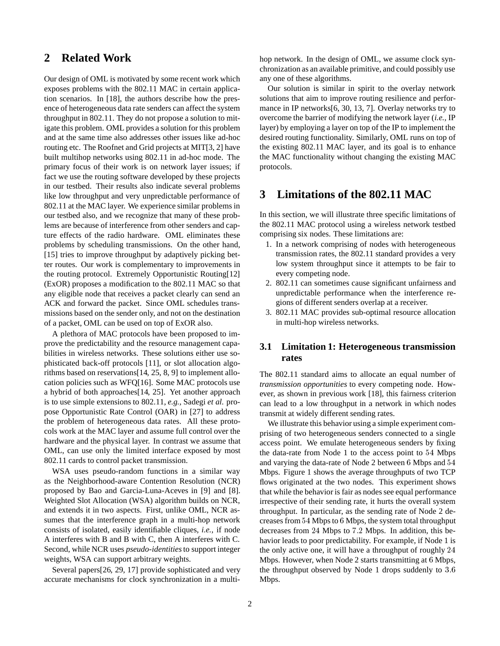# **2 Related Work**

Our design of OML is motivated by some recent work which exposes problems with the 802.11 MAC in certain application scenarios. In [18], the authors describe how the presence of heterogeneous data rate senders can affect the system throughput in 802.11. They do not propose a solution to mitigate this problem. OML provides a solution for this problem and at the same time also addresses other issues like ad-hoc routing etc. The Roofnet and Grid projects at MIT[3, 2] have built multihop networks using 802.11 in ad-hoc mode. The primary focus of their work is on network layer issues; if fact we use the routing software developed by these projects in our testbed. Their results also indicate several problems like low throughput and very unpredictable performance of 802.11 at the MAC layer. We experience similar problems in our testbed also, and we recognize that many of these problems are because of interference from other senders and capture effects of the radio hardware. OML eliminates these problems by scheduling transmissions. On the other hand, [15] tries to improve throughput by adaptively picking better routes. Our work is complementary to improvements in the routing protocol. Extremely Opportunistic Routing[12] (ExOR) proposes a modification to the 802.11 MAC so that any eligible node that receives a packet clearly can send an ACK and forward the packet. Since OML schedules transmissions based on the sender only, and not on the destination of a packet, OML can be used on top of ExOR also.

A plethora of MAC protocols have been proposed to improve the predictability and the resource management capabilities in wireless networks. These solutions either use sophisticated back-off protocols [11], or slot allocation algorithms based on reservations[14, 25, 8, 9] to implement allocation policies such as WFQ[16]. Some MAC protocols use a hybrid of both approaches[14, 25]. Yet another approach is to use simple extensions to 802.11, *e.g.,* Sadegi *et al.* propose Opportunistic Rate Control (OAR) in [27] to address the problem of heterogeneous data rates. All these protocols work at the MAC layer and assume full control over the hardware and the physical layer. In contrast we assume that OML, can use only the limited interface exposed by most 802.11 cards to control packet transmission.

WSA uses pseudo-random functions in a similar way as the Neighborhood-aware Contention Resolution (NCR) proposed by Bao and Garcia-Luna-Aceves in [9] and [8]. Weighted Slot Allocation (WSA) algorithm builds on NCR, and extends it in two aspects. First, unlike OML, NCR assumes that the interference graph in a multi-hop network consists of isolated, easily identifiable cliques, *i.e.,* if node A interferes with B and B with C, then A interferes with C. Second, while NCR uses *pseudo-identities*to support integer weights, WSA can support arbitrary weights.

Several papers[26, 29, 17] provide sophisticated and very accurate mechanisms for clock synchronization in a multi-

Our solution is similar in spirit to the overlay network solutions that aim to improve routing resilience and performance in IP networks[6, 30, 13, 7]. Overlay networks try to overcome the barrier of modifying the network layer (*i.e.,* IP layer) by employing a layer on top of the IP to implement the desired routing functionality. Similarly, OML runs on top of the existing 802.11 MAC layer, and its goal is to enhance the MAC functionality without changing the existing MAC protocols.

# **3 Limitations of the 802.11 MAC**

In this section, we will illustrate three specific limitations of the 802.11 MAC protocol using a wireless network testbed comprising six nodes. These limitations are:

- 1. In a network comprising of nodes with heterogeneous transmission rates, the 802.11 standard provides a very low system throughput since it attempts to be fair to every competing node.
- 2. 802.11 can sometimes cause significant unfairness and unpredictable performance when the interference regions of different senders overlap at a receiver.
- 3. 802.11 MAC provides sub-optimal resource allocation in multi-hop wireless networks.

## **3.1 Limitation 1: Heterogeneous transmission rates**

The 802.11 standard aims to allocate an equal number of *transmission opportunities* to every competing node. However, as shown in previous work [18], this fairness criterion can lead to a low throughput in a network in which nodes transmit at widely different sending rates.

We illustrate this behavior using a simple experiment comprising of two heterogeneous senders connected to a single access point. We emulate heterogeneous senders by fixing the data-rate from Node 1 to the access point to <sup>54</sup> Mbps and varying the data-rate of Node 2 between <sup>6</sup> Mbps and <sup>54</sup> Mbps. Figure 1 shows the average throughputs of two TCP flows originated at the two nodes. This experiment shows that while the behavior is fair as nodes see equal performance irrespective of their sending rate, it hurts the overall system throughput. In particular, as the sending rate of Node 2 decreases from <sup>54</sup> Mbps to <sup>6</sup> Mbps, the system total throughput decreases from <sup>24</sup> Mbps to 7:2 Mbps. In addition, this behavior leads to poor predictability. For example, if Node 1 is the only active one, it will have a throughput of roughly <sup>24</sup> Mbps. However, when Node 2 starts transmitting at <sup>6</sup> Mbps, the throughput observed by Node 1 drops suddenly to 3:6 Mbps.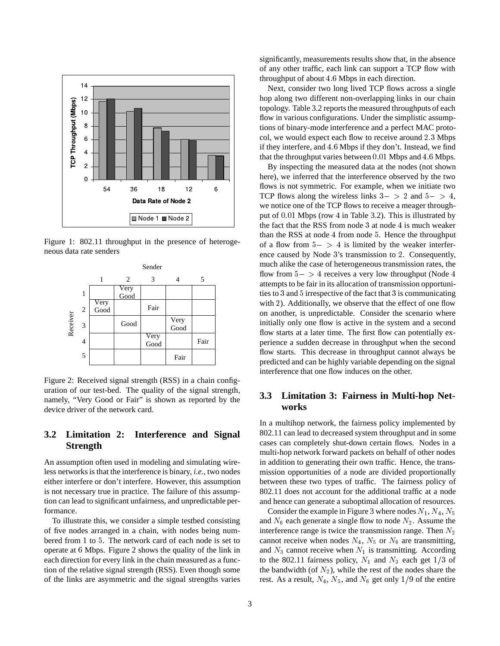

Figure 1: 802.11 throughput in the presence of heterogeneous data rate senders



Figure 2: Received signal strength (RSS) in a chain configuration of our test-bed. The quality of the signal strength, namely, "Very Good or Fair" is shown as reported by the device driver of the network card.

## **3.2 Limitation 2: Interference and Signal Strength**

An assumption often used in modeling and simulating wireless networks is that the interference is binary, *i.e.,* two nodes either interfere or don't interfere. However, this assumption is not necessary true in practice. The failure of this assumption can lead to significant unfairness, and unpredictable performance.

To illustrate this, we consider a simple testbed consisting of five nodes arranged in a chain, with nodes being numbered from <sup>1</sup> to <sup>5</sup>. The network card of each node is set to operate at <sup>6</sup> Mbps. Figure 2 shows the quality of the link in each direction for every link in the chain measured as a function of the relative signal strength (RSS). Even though some of the links are asymmetric and the signal strengths varies significantly, measurements results show that, in the absence of any other traffic, each link can support a TCP flow with throughput of about 4.6 Mbps in each direction.

Next, consider two long lived TCP flows across a single hop along two different non-overlapping links in our chain topology. Table 3.2 reports the measured throughputs of each flow in various configurations. Under the simplistic assumptions of binary-mode interference and a perfect MAC protocol, we would expect each flow to receive around 2:3 Mbps if they interfere, and 4:6 Mbps if they don't. Instead, we find that the throughput varies between  $0.01$  Mbps and  $4.6$  Mbps.

By inspecting the measured data at the nodes (not shown here), we inferred that the interference observed by the two flows is not symmetric. For example, when we initiate two TCP flows along the wireless links  $3 - > 2$  and  $5 - > 4$ , we notice one of the TCP flows to receive a meager throughput of 0:01 Mbps (row <sup>4</sup> in Table 3.2). This is illustrated by the fact that the RSS from node <sup>3</sup> at node <sup>4</sup> is much weaker than the RSS at node <sup>4</sup> from node <sup>5</sup>. Hence the throughput of a flow from  $5 - > 4$  is limited by the weaker interference caused by Node <sup>3</sup>'s transmission to <sup>2</sup>. Consequently, much alike the case of heterogeneous transmission rates, the flow from  $5 - > 4$  receives a very low throughput (Node 4) attempts to be fair in its allocation of transmission opportunities to <sup>3</sup> and <sup>5</sup> irrespective of the fact that <sup>3</sup> is communicating with 2). Additionally, we observe that the effect of one flow on another, is unpredictable. Consider the scenario where initially only one flow is active in the system and a second flow starts at a later time. The first flow can potentially experience a sudden decrease in throughput when the second flow starts. This decrease in throughput cannot always be predicted and can be highly variable depending on the signal interference that one flow induces on the other.

### **3.3 Limitation 3: Fairness in Multi-hop Networks**

In a multihop network, the fairness policy implemented by 802.11 can lead to decreased system throughput and in some cases can completely shut-down certain flows. Nodes in a multi-hop network forward packets on behalf of other nodes in addition to generating their own traffic. Hence, the transmission opportunities of a node are divided proportionally between these two types of traffic. The fairness policy of 802.11 does not account for the additional traffic at a node and hence can generate a suboptimal allocation of resources.

Consider the example in Figure 3 where nodes  $N_1$ ,  $N_4$ ,  $N_5$ and  $N_6$  each generate a single flow to node  $N_2$ . Assume the interference range is twice the transmission range. Then  $N_2$ cannot receive when nodes  $N_4$ ,  $N_5$  or  $N_6$  are transmitting, and  $N_3$  cannot receive when  $N_1$  is transmitting. According to the 802.11 fairness policy,  $N_1$  and  $N_3$  each get  $1/3$  of the bandwidth (of  $N_2$ ), while the rest of the nodes share the rest. As a result,  $N_4$ ,  $N_5$ , and  $N_6$  get only 1/9 of the entire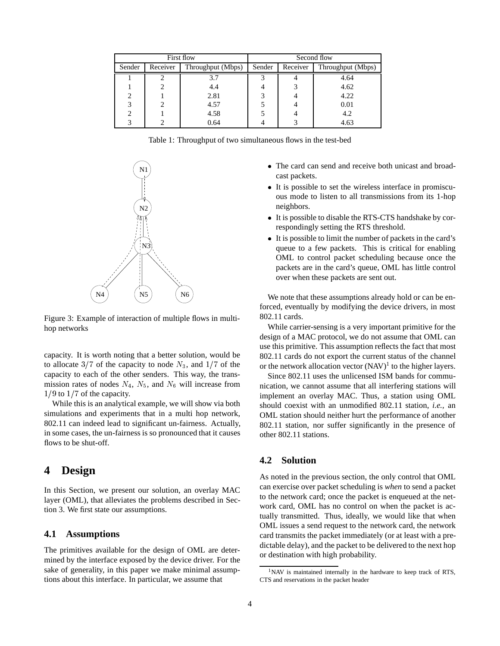| First flow |          |                   | Second flow |          |                   |  |
|------------|----------|-------------------|-------------|----------|-------------------|--|
| Sender     | Receiver | Throughput (Mbps) | Sender      | Receiver | Throughput (Mbps) |  |
|            |          | 3.7               | っ           |          | 4.64              |  |
|            |          | 4.4               |             |          | 4.62              |  |
| 2          |          | 2.81              |             |          | 4.22              |  |
| 3          |          | 4.57              |             |          | 0.01              |  |
|            |          | 4.58              |             |          | 4.2               |  |
|            |          | 0.64              |             |          | 4.63              |  |

Table 1: Throughput of two simultaneous flows in the test-bed



Figure 3: Example of interaction of multiple flows in multihop networks

capacity. It is worth noting that a better solution, would be to allocate  $3/7$  of the capacity to node  $N_3$ , and  $1/7$  of the capacity to each of the other senders. This way, the transmission rates of nodes  $N_4$ ,  $N_5$ , and  $N_6$  will increase from  $1/9$  to  $1/7$  of the capacity.

While this is an analytical example, we will show via both simulations and experiments that in a multi hop network, 802.11 can indeed lead to significant un-fairness. Actually, in some cases, the un-fairness is so pronounced that it causes flows to be shut-off.

## **4 Design**

In this Section, we present our solution, an overlay MAC layer (OML), that alleviates the problems described in Section 3. We first state our assumptions.

### **4.1 Assumptions**

The primitives available for the design of OML are determined by the interface exposed by the device driver. For the sake of generality, in this paper we make minimal assumptions about this interface. In particular, we assume that

- The card can send and receive both unicast and broadcast packets.
- It is possible to set the wireless interface in promiscuous mode to listen to all transmissions from its 1-hop neighbors.
- It is possible to disable the RTS-CTS handshake by correspondingly setting the RTS threshold.
- It is possible to limit the number of packets in the card's queue to a few packets. This is critical for enabling OML to control packet scheduling because once the packets are in the card's queue, OML has little control over when these packets are sent out.

We note that these assumptions already hold or can be enforced, eventually by modifying the device drivers, in most 802.11 cards.

While carrier-sensing is a very important primitive for the design of a MAC protocol, we do not assume that OML can use this primitive. This assumption reflects the fact that most 802.11 cards do not export the current status of the channel or the network allocation vector  $(NAV)^1$  to the higher layers.

Since 802.11 uses the unlicensed ISM bands for communication, we cannot assume that all interfering stations will implement an overlay MAC. Thus, a station using OML should coexist with an unmodified 802.11 station, *i.e.,* an OML station should neither hurt the performance of another 802.11 station, nor suffer significantly in the presence of other 802.11 stations.

### **4.2 Solution**

As noted in the previous section, the only control that OML can exercise over packet scheduling is *when* to send a packet to the network card; once the packet is enqueued at the network card, OML has no control on when the packet is actually transmitted. Thus, ideally, we would like that when OML issues a send request to the network card, the network card transmits the packet immediately (or at least with a predictable delay), and the packet to be delivered to the next hop or destination with high probability.

<sup>&</sup>lt;sup>1</sup>NAV is maintained internally in the hardware to keep track of RTS, CTS and reservations in the packet header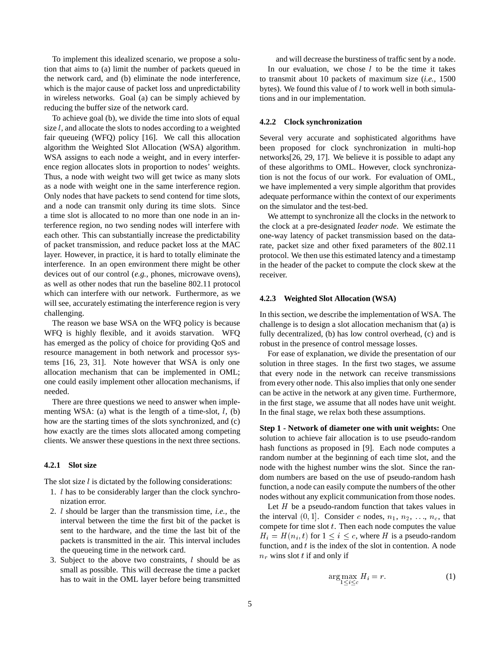To implement this idealized scenario, we propose a solution that aims to (a) limit the number of packets queued in the network card, and (b) eliminate the node interference, which is the major cause of packet loss and unpredictability in wireless networks. Goal (a) can be simply achieved by reducing the buffer size of the network card.

To achieve goal (b), we divide the time into slots of equal size  $l$ , and allocate the slots to nodes according to a weighted fair queueing (WFQ) policy [16]. We call this allocation algorithm the Weighted Slot Allocation (WSA) algorithm. WSA assigns to each node a weight, and in every interference region allocates slots in proportion to nodes' weights. Thus, a node with weight two will get twice as many slots as a node with weight one in the same interference region. Only nodes that have packets to send contend for time slots, and a node can transmit only during its time slots. Since a time slot is allocated to no more than one node in an interference region, no two sending nodes will interfere with each other. This can substantially increase the predictability of packet transmission, and reduce packet loss at the MAC layer. However, in practice, it is hard to totally eliminate the interference. In an open environment there might be other devices out of our control (*e.g.,* phones, microwave ovens), as well as other nodes that run the baseline 802.11 protocol which can interfere with our network. Furthermore, as we will see, accurately estimating the interference region is very challenging.

The reason we base WSA on the WFQ policy is because WFQ is highly flexible, and it avoids starvation. WFQ has emerged as the policy of choice for providing QoS and resource management in both network and processor systems [16, 23, 31]. Note however that WSA is only one allocation mechanism that can be implemented in OML; one could easily implement other allocation mechanisms, if needed.

There are three questions we need to answer when implementing WSA: (a) what is the length of a time-slot,  $l$ , (b) how are the starting times of the slots synchronized, and (c) how exactly are the times slots allocated among competing clients. We answer these questions in the next three sections.

#### **4.2.1 Slot size**

The slot size  $l$  is dictated by the following considerations:

- 1. <sup>l</sup> has to be considerably larger than the clock synchronization error.
- 2. <sup>l</sup> should be larger than the transmission time, *i.e.,* the interval between the time the first bit of the packet is sent to the hardware, and the time the last bit of the packets is transmitted in the air. This interval includes the queueing time in the network card.
- 3. Subject to the above two constraints,  $l$  should be as small as possible. This will decrease the time a packet has to wait in the OML layer before being transmitted

and will decrease the burstiness of traffic sent by a node. In our evaluation, we chose  $l$  to be the time it takes to transmit about 10 packets of maximum size (*i.e.,* 1500 bytes). We found this value of  $l$  to work well in both simulations and in our implementation.

#### **4.2.2 Clock synchronization**

Several very accurate and sophisticated algorithms have been proposed for clock synchronization in multi-hop networks[26, 29, 17]. We believe it is possible to adapt any of these algorithms to OML. However, clock synchronization is not the focus of our work. For evaluation of OML, we have implemented a very simple algorithm that provides adequate performance within the context of our experiments on the simulator and the test-bed.

We attempt to synchronize all the clocks in the network to the clock at a pre-designated *leader node*. We estimate the one-way latency of packet transmission based on the datarate, packet size and other fixed parameters of the 802.11 protocol. We then use this estimated latency and a timestamp in the header of the packet to compute the clock skew at the receiver.

#### **4.2.3 Weighted Slot Allocation (WSA)**

In this section, we describe the implementation of WSA. The challenge is to design a slot allocation mechanism that (a) is fully decentralized, (b) has low control overhead, (c) and is robust in the presence of control message losses.

For ease of explanation, we divide the presentation of our solution in three stages. In the first two stages, we assume that every node in the network can receive transmissions from every other node. This also implies that only one sender can be active in the network at any given time. Furthermore, in the first stage, we assume that all nodes have unit weight. In the final stage, we relax both these assumptions.

**Step 1 - Network of diameter one with unit weights:** One solution to achieve fair allocation is to use pseudo-random hash functions as proposed in [9]. Each node computes a random number at the beginning of each time slot, and the node with the highest number wins the slot. Since the random numbers are based on the use of pseudo-random hash function, a node can easily compute the numbers of the other nodes without any explicit communication from those nodes.

Let  $H$  be a pseudo-random function that takes values in the interval  $(0, 1]$ . Consider c nodes,  $n_1, n_2, \ldots, n_c$ , that compete for time slot  $t$ . Then each node computes the value  $H_i = H(n_i, t)$  for  $1 \le i \le c$ , where H is a pseudo-random function, and  $t$  is the index of the slot in contention. A node  $n_r$  wins slot t if and only if

$$
\arg\max_{1 \le i \le c} H_i = r. \tag{1}
$$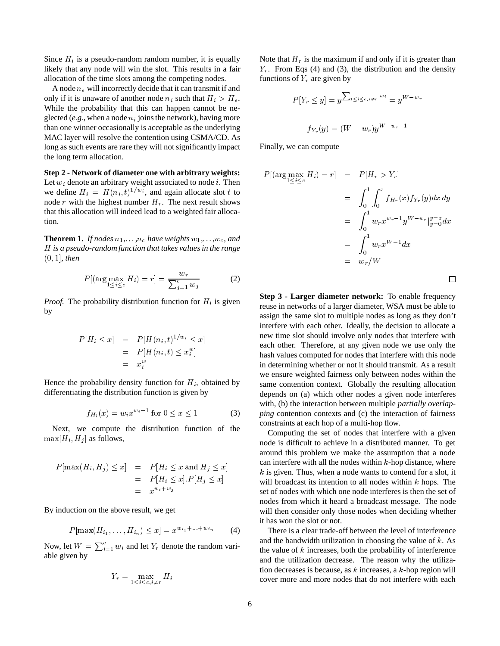Since  $H_i$  is a pseudo-random random number, it is equally likely that any node will win the slot. This results in a fair allocation of the time slots among the competing nodes.

A node  $n_s$  will incorrectly decide that it can transmit if and only if it is unaware of another node  $n_i$  such that  $H_i > H_s$ . While the probability that this can happen cannot be neglected (*e.g.*, when a node  $n_i$  joins the network), having more than one winner occasionally is acceptable as the underlying MAC layer will resolve the contention using CSMA/CD. As long as such events are rare they will not significantly impact the long term allocation.

**Step 2 - Network of diameter one with arbitrary weights:** Let  $w_i$  denote an arbitrary weight associated to node *i*. Then we define  $H_i = H(n_i, t)^{1/w_i}$ , and again allocate slot t to node r with the highest number  $H_r$ . The next result shows that this allocation will indeed lead to a weighted fair allocation.

**Theorem 1.** *If nodes*  $n_1, \ldots, n_c$  *have weights*  $w_1, \ldots, w_c$ *, and* <sup>H</sup> *is a pseudo-random function that takes values in the range* (0; 1]*, then*

$$
P\left[\left(\arg\max_{1\leq i\leq c} H_i\right) = r\right] = \frac{w_r}{\sum_{j=1}^c w_j} \tag{2}
$$

*Proof.* The probability distribution function for  $H_i$  is given by

$$
P[H_i \le x] = P[H(n_i, t)^{1/w_i} \le x]
$$
  
= 
$$
P[H(n_i, t) \le x_i^w]
$$
  
= 
$$
x_i^w
$$

Hence the probability density function for  $H_i$ , obtained by differentiating the distribution function is given by

$$
f_{H_i}(x) = w_i x^{w_i - 1} \text{ for } 0 \le x \le 1 \tag{3}
$$

Next, we compute the distribution function of the  $\max[H_i, H_j]$  as follows,

$$
P[\max(H_i, H_j) \le x] = P[H_i \le x \text{ and } H_j \le x] \begin{cases} \text{ca} \\ k \end{cases}
$$
  
= 
$$
P[H_i \le x]. P[H_j \le x] \qquad \text{we} \\ = x^{w_i + w_j} \qquad \text{see} \quad \text{see} \quad \text{see} \quad \text{see} \quad \text{see} \quad \text{see} \quad \text{see} \quad \text{see} \quad \text{see} \quad \text{see} \quad \text{see} \quad \text{see} \quad \text{see} \quad \text{see} \quad \text{see} \quad \text{see} \quad \text{see} \quad \text{see} \quad \text{see} \quad \text{see} \quad \text{see} \quad \text{see} \quad \text{see} \quad \text{see} \quad \text{see} \quad \text{see} \quad \text{see} \quad \text{see} \quad \text{see} \quad \text{see} \quad \text{see} \quad \text{see} \quad \text{see} \quad \text{see} \quad \text{see} \quad \text{see} \quad \text{see} \quad \text{see} \quad \text{see} \quad \text{see} \quad \text{see} \quad \text{see} \quad \text{see} \quad \text{see} \quad \text{see} \quad \text{see} \quad \text{see} \quad \text{see} \quad \text{see} \quad \text{see} \quad \text{see} \quad \text{see} \quad \text{see} \quad \text{see} \quad \text{see} \quad \text{see} \quad \text{see} \quad \text{see} \quad \text{see} \quad \text{see} \quad \text{see} \quad \text{see} \quad \text{see} \quad \text{see} \quad \text{see} \quad \text{see} \quad \text{see} \quad \text{see} \quad \text{see} \quad \text{see} \quad \text{see} \quad \text{see} \quad \text{see} \quad \text{see} \quad \text{see} \quad \text{see} \quad \text{see} \quad \text{see} \quad \text{see} \quad \text{see} \quad \text{see} \quad \text{see} \quad \text{see} \quad \text{see} \quad \text{see} \quad \text{see} \quad \text{see} \quad \text{see} \quad \text{see} \quad \text{see} \quad \text{see} \quad \text{see} \quad \text{see} \quad \text{see} \quad \text{see} \quad \
$$

By induction on the above result, we get

$$
P[\max(H_{i_1},\ldots,H_{i_n}) \le x] = x^{w_{i_1}+\ldots+w_{i_n}} \qquad (4)
$$

Now, let  $W = \sum_{i=1}^{c} w_i$  and let  $Y_r$  denote the random variable given by

$$
Y_r = \max_{1 \le i \le c, i \ne r} H_i
$$

Note that  $H_r$  is the maximum if and only if it is greater than  $Y_r$ . From Eqs (4) and (3), the distribution and the density functions of  $Y_r$  are given by

$$
P[Y_r \le y] = y^{\sum_{1 \le i \le c, i \ne r} w_i} = y^{W - w_r}
$$

$$
f_{Y_r}(y) = (W - w_r)y^{W - w_r - 1}
$$

Finally, we can compute

$$
P[(\arg\max_{1\leq i\leq c} H_i) = r] = P[H_r > Y_r]
$$
  
=  $\int_0^1 \int_0^x f_{H_r}(x) f_{Y_r}(y) dx dy$   
=  $\int_0^1 w_r x^{w_r-1} y^{W-w_r} \Big|_{y=0}^{y=x} dx$   
=  $\int_0^1 w_r x^{W-1} dx$   
=  $w_r/W$ 

 $\Box$ 

**Step 3 - Larger diameter network:** To enable frequency reuse in networks of a larger diameter, WSA must be able to assign the same slot to multiple nodes as long as they don't interfere with each other. Ideally, the decision to allocate a new time slot should involve only nodes that interfere with each other. Therefore, at any given node we use only the hash values computed for nodes that interfere with this node in determining whether or not it should transmit. As a result we ensure weighted fairness only between nodes within the same contention context. Globally the resulting allocation depends on (a) which other nodes a given node interferes with, (b) the interaction between multiple *partially overlapping* contention contexts and (c) the interaction of fairness constraints at each hop of a multi-hop flow.

Computing the set of nodes that interfere with a given node is difficult to achieve in a distributed manner. To get around this problem we make the assumption that a node can interfere with all the nodes within  $k$ -hop distance, where  $k$  is given. Thus, when a node wants to contend for a slot, it will broadcast its intention to all nodes within  $k$  hops. The set of nodes with which one node interferes is then the set of nodes from which it heard a broadcast message. The node will then consider only those nodes when deciding whether it has won the slot or not.

There is a clear trade-off between the level of interference and the bandwidth utilization in choosing the value of  $k$ . As the value of  $k$  increases, both the probability of interference and the utilization decrease. The reason why the utilization decreases is because, as  $k$  increases, a  $k$ -hop region will cover more and more nodes that do not interfere with each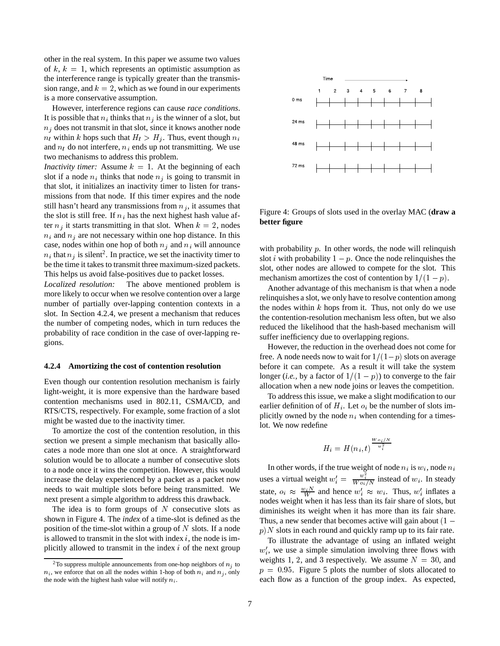other in the real system. In this paper we assume two values of  $k, k = 1$ , which represents an optimistic assumption as the interference range is typically greater than the transmission range, and  $k = 2$ , which as we found in our experiments is a more conservative assumption.

However, interference regions can cause *race conditions*. It is possible that  $n_i$  thinks that  $n_j$  is the winner of a slot, but  $n_i$  does not transmit in that slot, since it knows another node  $n_l$  within k hops such that  $H_l > H_j$ . Thus, event though  $n_i$ and  $n_l$  do not interfere,  $n_i$  ends up not transmitting. We use two mechanisms to address this problem.

*Inactivity timer:* Assume  $k = 1$ . At the beginning of each slot if a node  $n_i$  thinks that node  $n_j$  is going to transmit in that slot, it initializes an inactivity timer to listen for transmissions from that node. If this timer expires and the node still hasn't heard any transmissions from  $n_j$ , it assumes that the slot is still free. If  $n_i$  has the next highest hash value after  $n_i$  it starts transmitting in that slot. When  $k = 2$ , nodes  $n_i$  and  $n_j$  are not necessary within one hop distance. In this case, nodes within one hop of both  $n_j$  and  $n_i$  will announce  $n_i$  that  $n_j$  is silent<sup>2</sup>. In practice, we set the inactivity timer to be the time it takes to transmit three maximum-sized packets. This helps us avoid false-positives due to packet losses.

*Localized resolution:* The above mentioned problem is more likely to occur when we resolve contention over a large number of partially over-lapping contention contexts in a slot. In Section 4.2.4, we present a mechanism that reduces the number of competing nodes, which in turn reduces the probability of race condition in the case of over-lapping regions.

#### **4.2.4 Amortizing the cost of contention resolution**

Even though our contention resolution mechanism is fairly light-weight, it is more expensive than the hardware based contention mechanisms used in 802.11, CSMA/CD, and RTS/CTS, respectively. For example, some fraction of a slot might be wasted due to the inactivity timer.

To amortize the cost of the contention resolution, in this section we present a simple mechanism that basically allocates a node more than one slot at once. A straightforward solution would be to allocate a number of consecutive slots to a node once it wins the competition. However, this would increase the delay experienced by a packet as a packet now needs to wait multiple slots before being transmitted. We next present a simple algorithm to address this drawback.

The idea is to form groups of  $N$  consecutive slots as shown in Figure 4. The *index* of a time-slot is defined as the position of the time-slot within a group of  $N$  slots. If a node is allowed to transmit in the slot with index  $i$ , the node is implicitly allowed to transmit in the index  $i$  of the next group



Figure 4: Groups of slots used in the overlay MAC (**draw a better figure**

with probability  $p$ . In other words, the node will relinquish slot *i* with probability  $1 - p$ . Once the node relinquishes the slot, other nodes are allowed to compete for the slot. This mechanism amortizes the cost of contention by  $1/(1 - p)$ .

Another advantage of this mechanism is that when a node relinquishes a slot, we only have to resolve contention among the nodes within  $k$  hops from it. Thus, not only do we use the contention-resolution mechanism less often, but we also reduced the likelihood that the hash-based mechanism will suffer inefficiency due to overlapping regions.

However, the reduction in the overhead does not come for free. A node needs now to wait for  $1/(1-p)$  slots on average before it can compete. As a result it will take the system longer (*i.e.*, by a factor of  $1/(1 - p)$ ) to converge to the fair allocation when a new node joins or leaves the competition.

To address this issue, we make a slight modification to our earlier definition of of  $H_i$ . Let  $o_i$  be the number of slots implicitly owned by the node  $n_i$  when contending for a timeslot. We now redefine

$$
H_i=H(n_i,t)^{\frac{W\, o_i/N}{w_i^2}}
$$

In other words, if the true weight of node  $n_i$  is  $w_i$ , node  $n_i$ uses a virtual weight  $w'_i = \frac{w_i}{W o_i/N}$  instead of  $w_i$ . In steady state,  $o_i \approx \frac{w_i N}{W}$  and hence  $w'_i \approx w_i$ . Thus,  $w'_i$  inflates a nodes weight when it has less than its fair share of slots, but diminishes its weight when it has more than its fair share. Thus, a new sender that becomes active will gain about  $(1$  $p/N$  slots in each round and quickly ramp up to its fair rate.

To illustrate the advantage of using an inflated weight  $w_i'$ , we use a simple simulation involving three flows with weights 1, 2, and 3 respectively. We assume  $N = 30$ , and  $p = 0.95$ . Figure 5 plots the number of slots allocated to each flow as a function of the group index. As expected,

<sup>&</sup>lt;sup>2</sup>To suppress multiple announcements from one-hop neighbors of  $n_i$  to  $n_i$ , we enforce that on all the nodes within 1-hop of both  $n_i$  and  $n_j$ , only the node with the highest hash value will notify  $n_i$ .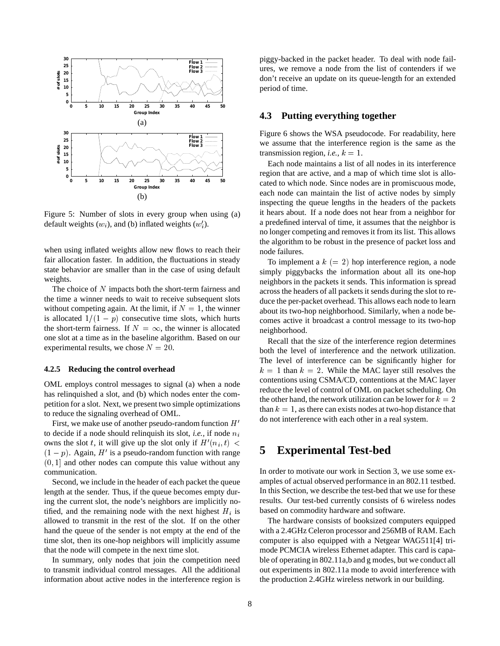

Figure 5: Number of slots in every group when using (a) default weights  $(w_i)$ , and (b) inflated weights  $(w'_i)$ .

when using inflated weights allow new flows to reach their fair allocation faster. In addition, the fluctuations in steady state behavior are smaller than in the case of using default weights.

The choice of N impacts both the short-term fairness and the time a winner needs to wait to receive subsequent slots without competing again. At the limit, if  $N = 1$ , the winner is allocated  $1/(1 - p)$  consecutive time slots, which hurts the short-term fairness. If  $N = \infty$ , the winner is allocated one slot at a time as in the baseline algorithm. Based on our experimental results, we chose  $N = 20$ .

#### **4.2.5 Reducing the control overhead**

OML employs control messages to signal (a) when a node has relinquished a slot, and (b) which nodes enter the competition for a slot. Next, we present two simple optimizations to reduce the signaling overhead of OML.

First, we make use of another pseudo-random function  $H'$ to decide if a node should relinquish its slot, *i.e.*, if node  $n_i$ owns the slot t, it will give up the slot only if  $H'(n_i, t) <$ <br>(1 – n) Again  $H'$  is a negligible random function with range  $(1 - p)$ . Again, H' is a pseudo-random function with range  $(0, 1]$  and other nodes can compute this value without any communication.

Second, we include in the header of each packet the queue length at the sender. Thus, if the queue becomes empty during the current slot, the node's neighbors are implicitly notified, and the remaining node with the next highest  $H_i$  is allowed to transmit in the rest of the slot. If on the other hand the queue of the sender is not empty at the end of the time slot, then its one-hop neighbors will implicitly assume that the node will compete in the next time slot.

In summary, only nodes that join the competition need to transmit individual control messages. All the additional information about active nodes in the interference region is piggy-backed in the packet header. To deal with node failures, we remove a node from the list of contenders if we don't receive an update on its queue-length for an extended period of time.

## **4.3 Putting everything together**

Figure 6 shows the WSA pseudocode. For readability, here we assume that the interference region is the same as the transmission region, *i.e.*,  $k = 1$ .

Each node maintains a list of all nodes in its interference region that are active, and a map of which time slot is allocated to which node. Since nodes are in promiscuous mode, each node can maintain the list of active nodes by simply inspecting the queue lengths in the headers of the packets it hears about. If a node does not hear from a neighbor for a predefined interval of time, it assumes that the neighbor is no longer competing and removes it from its list. This allows the algorithm to be robust in the presence of packet loss and node failures.

To implement a  $k (= 2)$  hop interference region, a node simply piggybacks the information about all its one-hop neighbors in the packets it sends. This information is spread across the headers of all packets it sends during the slot to reduce the per-packet overhead. This allows each node to learn about its two-hop neighborhood. Similarly, when a node becomes active it broadcast a control message to its two-hop neighborhood.

Recall that the size of the interference region determines both the level of interference and the network utilization. The level of interference can be significantly higher for  $k = 1$  than  $k = 2$ . While the MAC layer still resolves the contentions using CSMA/CD, contentions at the MAC layer reduce the level of control of OML on packet scheduling. On the other hand, the network utilization can be lower for  $k = 2$ than  $k = 1$ , as there can exists nodes at two-hop distance that do not interference with each other in a real system.

# **5 Experimental Test-bed**

In order to motivate our work in Section 3, we use some examples of actual observed performance in an 802.11 testbed. In this Section, we describe the test-bed that we use for these results. Our test-bed currently consists of 6 wireless nodes based on commodity hardware and software.

The hardware consists of booksized computers equipped with a 2.4GHz Celeron processor and 256MB of RAM. Each computer is also equipped with a Netgear WAG511[4] trimode PCMCIA wireless Ethernet adapter. This card is capable of operating in 802.11a,b and g modes, but we conduct all out experiments in 802.11a mode to avoid interference with the production 2.4GHz wireless network in our building.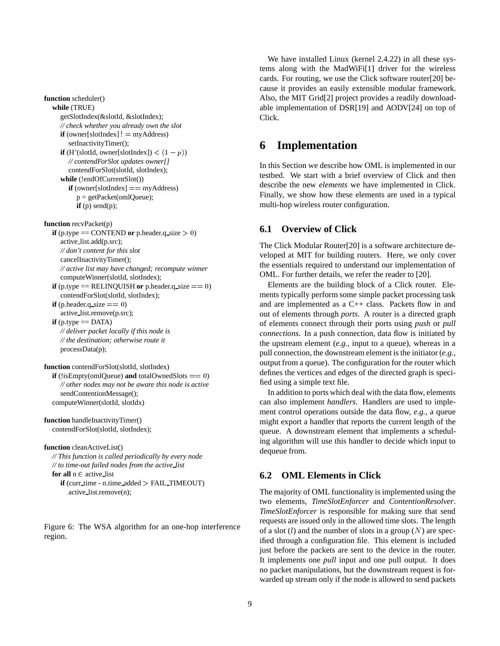```
function scheduler()
while (TRUE)
   getSlotIndex(&slotId, &slotIndex);
   // check whether you already own the slot
   if (owner[slotIndex] != myAddress)
      setInactivityTimer();
   if (H'(slotId, owner[slotIndex]) \lt (1 - p))
      // contendForSlot updates owner[]
      contendForSlot(slotId, slotIndex);
   while (!endOfCurrentSlot())
      if (owner[slotIndex] == myAddress)
         p = getPacket(omlQueue);
        if (p) send(p);
```
**function** recvPacket(p)

**if** (p.type  $==$  CONTEND or p.header.q\_size  $> 0$ ) active list.add(p.src); *// don't content for this slot* cancelInactivityTimer(); *// active list may have changed; recompute winner* computeWinner(slotId, slotIndex); **if** (p.type  $=$  RELINQUISH or p.header.q\_size  $=$   $=$  0) contendForSlot(slotId, slotIndex);

**if** (p.header.q\_size  $== 0$ ) active list.remove(p.src);

**if** (p.type  $==$  DATA) *// deliver packet locally if this node is // the destination; otherwise route it* processData(p);

**function** contendForSlot(slotId, slotIndex) **if** (!isEmpty(omlQueue) **and** totalOwnedSlots  $== 0$ ) *// other nodes may not be aware this node is active* sendContentionMessage(); computeWinner(slotId, slotIdx)

**function** handleInactivityTimer() contendForSlot(slotId, slotIndex);

#### **function** cleanActiveList()

*// This function is called periodically by every node // to time-out failed nodes from the active list*

**for all**  $n \in$  active list

```
if (curr time - n.time added > FAIL TIMEOUT)
active list.remove(n);
```
Figure 6: The WSA algorithm for an one-hop interference region.

We have installed Linux (kernel 2.4.22) in all these systems along with the MadWiFi[1] driver for the wireless cards. For routing, we use the Click software router[20] because it provides an easily extensible modular framework. Also, the MIT Grid[2] project provides a readily downloadable implementation of DSR[19] and AODV[24] on top of Click.

## **6 Implementation**

In this Section we describe how OML is implemented in our testbed. We start with a brief overview of Click and then describe the new *elements* we have implemented in Click. Finally, we show how these elements are used in a typical multi-hop wireless router configuration.

## **6.1 Overview of Click**

The Click Modular Router[20] is a software architecture developed at MIT for building routers. Here, we only cover the essentials required to understand our implementation of OML. For further details, we refer the reader to [20].

Elements are the building block of a Click router. Elements typically perform some simple packet processing task and are implemented as a C++ class. Packets flow in and out of elements through *ports*. A router is a directed graph of elements connect through their ports using *push* or *pull connections*. In a push connection, data flow is initiated by the upstream element (*e.g.,* input to a queue), whereas in a pull connection, the downstream element is the initiator (*e.g.,* output from a queue). The configuration for the router which defines the vertices and edges of the directed graph is specified using a simple text file.

In addition to ports which deal with the data flow, elements can also implement *handlers*. Handlers are used to implement control operations outside the data flow, *e.g.,* a queue might export a handler that reports the current length of the queue. A downstream element that implements a scheduling algorithm will use this handler to decide which input to dequeue from.

## **6.2 OML Elements in Click**

The majority of OML functionality is implemented using the two elements, *TimeSlotEnforcer* and *ContentionResolver*. *TimeSlotEnforcer* is responsible for making sure that send requests are issued only in the allowed time slots. The length of a slot  $(l)$  and the number of slots in a group  $(N)$  are specified through a configuration file. This element is included just before the packets are sent to the device in the router. It implements one *pull* input and one pull output. It does no packet manipulations, but the downstream request is forwarded up stream only if the node is allowed to send packets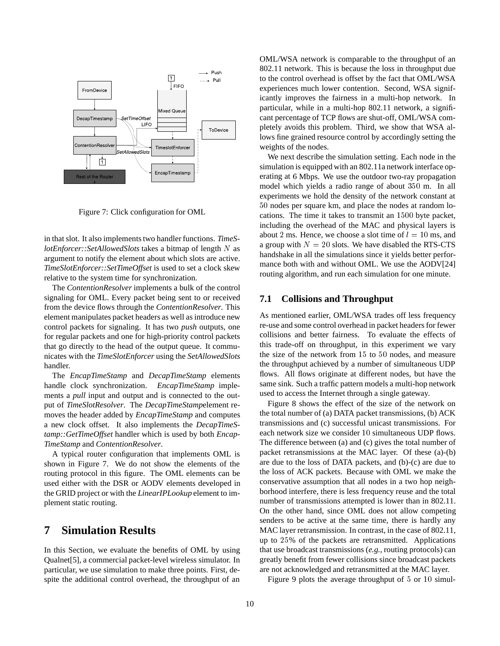

Figure 7: Click configuration for OML

in that slot. It also implements two handler functions. *TimeSlotEnforcer::SetAllowedSlots* takes a bitmap of length <sup>N</sup> as argument to notify the element about which slots are active. *TimeSlotEnforcer::SetTimeOffset* is used to set a clock skew relative to the system time for synchronization.

The *ContentionResolver* implements a bulk of the control signaling for OML. Every packet being sent to or received from the device flows through the *ContentionResolver*. This element manipulates packet headers as well as introduce new control packets for signaling. It has two *push* outputs, one for regular packets and one for high-priority control packets that go directly to the head of the output queue. It communicates with the *TimeSlotEnforcer* using the *SetAllowedSlots* handler.

The *EncapTimeStamp* and *DecapTimeStamp* elements handle clock synchronization. *EncapTimeStamp* implements a *pull* input and output and is connected to the output of *TimeSlotResolver*. The *DecapTimeStamp*element removes the header added by *EncapTimeStamp* and computes a new clock offset. It also implements the *DecapTimeStamp::GetTimeOffset* handler which is used by both *Encap-TimeStamp* and *ContentionResolver*.

A typical router configuration that implements OML is shown in Figure 7. We do not show the elements of the routing protocol in this figure. The OML elements can be used either with the DSR or AODV elements developed in the GRID project or with the *LinearIPLookup* element to implement static routing.

# **7 Simulation Results**

In this Section, we evaluate the benefits of OML by using Qualnet[5], a commercial packet-level wireless simulator. In particular, we use simulation to make three points. First, despite the additional control overhead, the throughput of an

OML/WSA network is comparable to the throughput of an 802.11 network. This is because the loss in throughput due to the control overhead is offset by the fact that OML/WSA experiences much lower contention. Second, WSA significantly improves the fairness in a multi-hop network. In particular, while in a multi-hop 802.11 network, a significant percentage of TCP flows are shut-off, OML/WSA completely avoids this problem. Third, we show that WSA allows fine grained resource control by accordingly setting the weights of the nodes.

We next describe the simulation setting. Each node in the simulation is equipped with an 802.11a network interface operating at <sup>6</sup> Mbps. We use the outdoor two-ray propagation model which yields a radio range of about <sup>350</sup> m. In all experiments we hold the density of the network constant at 50 nodes per square km, and place the nodes at random locations. The time it takes to transmit an <sup>1500</sup> byte packet, including the overhead of the MAC and physical layers is about 2 ms. Hence, we choose a slot time of  $l = 10$  ms, and a group with  $N = 20$  slots. We have disabled the RTS-CTS handshake in all the simulations since it yields better performance both with and without OML. We use the AODV[24] routing algorithm, and run each simulation for one minute.

### **7.1 Collisions and Throughput**

As mentioned earlier, OML/WSA trades off less frequency re-use and some control overhead in packet headers for fewer collisions and better fairness. To evaluate the effects of this trade-off on throughput, in this experiment we vary the size of the network from <sup>15</sup> to <sup>50</sup> nodes, and measure the throughput achieved by a number of simultaneous UDP flows. All flows originate at different nodes, but have the same sink. Such a traffic pattern models a multi-hop network used to access the Internet through a single gateway.

Figure 8 shows the effect of the size of the network on the total number of (a) DATA packet transmissions, (b) ACK transmissions and (c) successful unicast transmissions. For each network size we consider <sup>10</sup> simultaneous UDP flows. The difference between (a) and (c) gives the total number of packet retransmissions at the MAC layer. Of these (a)-(b) are due to the loss of DATA packets, and (b)-(c) are due to the loss of ACK packets. Because with OML we make the conservative assumption that all nodes in a two hop neighborhood interfere, there is less frequency reuse and the total number of transmissions attempted is lower than in 802.11. On the other hand, since OML does not allow competing senders to be active at the same time, there is hardly any MAC layer retransmission. In contrast, in the case of 802.11, up to <sup>25</sup>% of the packets are retransmitted. Applications that use broadcast transmissions (*e.g.,* routing protocols) can greatly benefit from fewer collisions since broadcast packets are not acknowledged and retransmitted at the MAC layer.

Figure 9 plots the average throughput of <sup>5</sup> or <sup>10</sup> simul-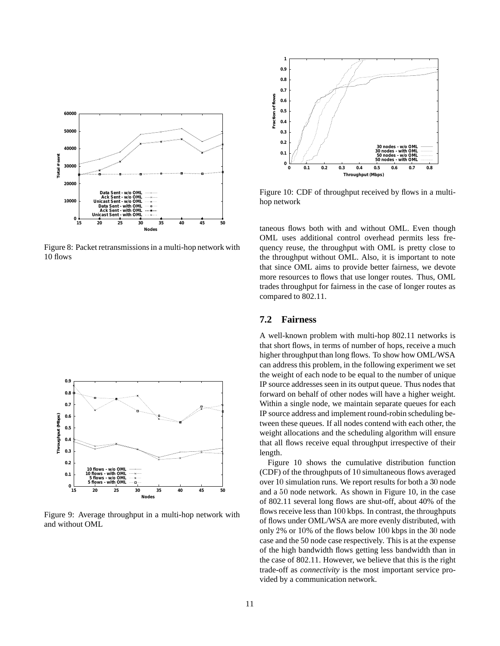

Figure 8: Packet retransmissions in a multi-hop network with 10 flows



Figure 9: Average throughput in a multi-hop network with and without OML



Figure 10: CDF of throughput received by flows in a multihop network

taneous flows both with and without OML. Even though OML uses additional control overhead permits less frequency reuse, the throughput with OML is pretty close to the throughput without OML. Also, it is important to note that since OML aims to provide better fairness, we devote more resources to flows that use longer routes. Thus, OML trades throughput for fairness in the case of longer routes as compared to 802.11.

## **7.2 Fairness**

A well-known problem with multi-hop 802.11 networks is that short flows, in terms of number of hops, receive a much higher throughput than long flows. To show how OML/WSA can address this problem, in the following experiment we set the weight of each node to be equal to the number of unique IP source addresses seen in its output queue. Thus nodes that forward on behalf of other nodes will have a higher weight. Within a single node, we maintain separate queues for each IP source address and implement round-robin scheduling between these queues. If all nodes contend with each other, the weight allocations and the scheduling algorithm will ensure that all flows receive equal throughput irrespective of their length.

Figure 10 shows the cumulative distribution function (CDF) of the throughputs of <sup>10</sup> simultaneous flows averaged over <sup>10</sup> simulation runs. We report results for both a <sup>30</sup> node and a <sup>50</sup> node network. As shown in Figure 10, in the case of 802.11 several long flows are shut-off, about 40% of the flows receive less than 100 kbps. In contrast, the throughputs of flows under OML/WSA are more evenly distributed, with only <sup>2</sup>% or <sup>10</sup>% of the flows below <sup>100</sup> kbps in the <sup>30</sup> node case and the 50 node case respectively. This is at the expense of the high bandwidth flows getting less bandwidth than in the case of 802.11. However, we believe that this is the right trade-off as *connectivity* is the most important service provided by a communication network.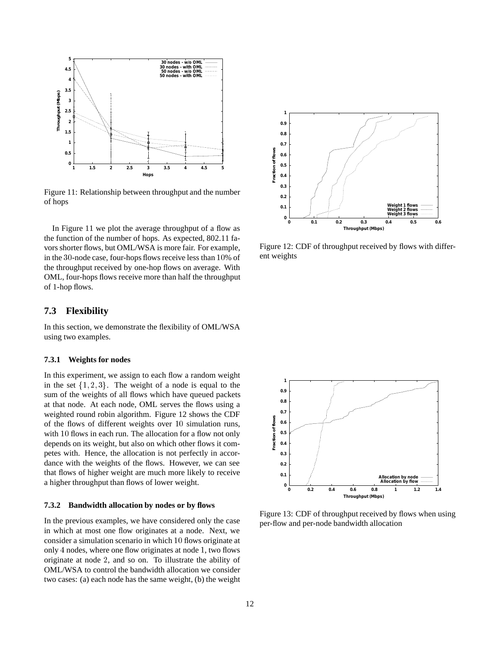

Figure 11: Relationship between throughput and the number of hops

In Figure 11 we plot the average throughput of a flow as the function of the number of hops. As expected, 802.11 favors shorter flows, but OML/WSA is more fair. For example, in the <sup>30</sup>-node case, four-hops flows receive less than <sup>10</sup>% of the throughput received by one-hop flows on average. With OML, four-hops flows receive more than half the throughput of 1-hop flows.

### **7.3 Flexibility**

In this section, we demonstrate the flexibility of OML/WSA using two examples.

#### **7.3.1 Weights for nodes**

In this experiment, we assign to each flow a random weight in the set  $\{1, 2, 3\}$ . The weight of a node is equal to the sum of the weights of all flows which have queued packets at that node. At each node, OML serves the flows using a weighted round robin algorithm. Figure 12 shows the CDF of the flows of different weights over <sup>10</sup> simulation runs, with <sup>10</sup> flows in each run. The allocation for a flow not only depends on its weight, but also on which other flows it competes with. Hence, the allocation is not perfectly in accordance with the weights of the flows. However, we can see that flows of higher weight are much more likely to receive a higher throughput than flows of lower weight.

#### **7.3.2 Bandwidth allocation by nodes or by flows**

In the previous examples, we have considered only the case in which at most one flow originates at a node. Next, we consider a simulation scenario in which <sup>10</sup> flows originate at only <sup>4</sup> nodes, where one flow originates at node <sup>1</sup>, two flows originate at node <sup>2</sup>, and so on. To illustrate the ability of OML/WSA to control the bandwidth allocation we consider two cases: (a) each node has the same weight, (b) the weight



Figure 12: CDF of throughput received by flows with different weights



Figure 13: CDF of throughput received by flows when using per-flow and per-node bandwidth allocation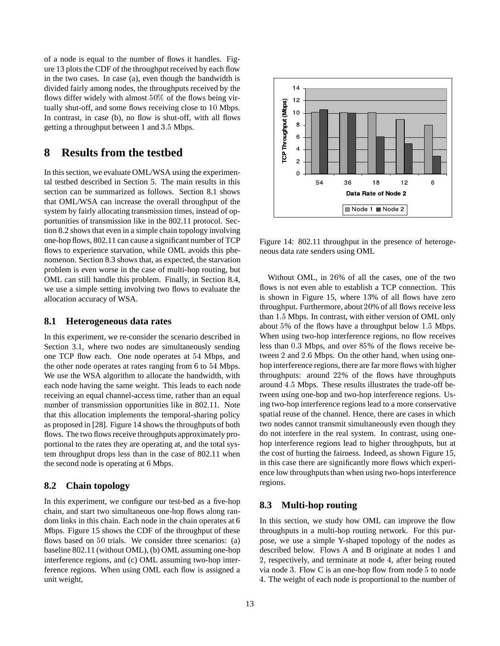of a node is equal to the number of flows it handles. Figure 13 plots the CDF of the throughput received by each flow in the two cases. In case (a), even though the bandwidth is divided fairly among nodes, the throughputs received by the flows differ widely with almost 50% of the flows being virtually shut-off, and some flows receiving close to <sup>10</sup> Mbps. In contrast, in case (b), no flow is shut-off, with all flows getting a throughput between <sup>1</sup> and 3:5 Mbps.

# **8 Results from the testbed**

In this section, we evaluate OML/WSA using the experimental testbed described in Section 5. The main results in this section can be summarized as follows. Section 8.1 shows that OML/WSA can increase the overall throughput of the system by fairly allocating transmission times, instead of opportunities of transmission like in the 802.11 protocol. Section 8.2 shows that even in a simple chain topology involving one-hop flows, 802.11 can cause a significant number of TCP flows to experience starvation, while OML avoids this phenomenon. Section 8.3 shows that, as expected, the starvation problem is even worse in the case of multi-hop routing, but OML can still handle this problem. Finally, in Section 8.4, we use a simple setting involving two flows to evaluate the allocation accuracy of WSA.

#### **8.1 Heterogeneous data rates**

In this experiment, we re-consider the scenario described in Section 3.1, where two nodes are simultaneously sending one TCP flow each. One node operates at <sup>54</sup> Mbps, and the other node operates at rates ranging from <sup>6</sup> to <sup>54</sup> Mbps. We use the WSA algorithm to allocate the bandwidth, with each node having the same weight. This leads to each node receiving an equal channel-access time, rather than an equal number of transmission opportunities like in 802.11. Note that this allocation implements the temporal-sharing policy as proposed in [28]. Figure 14 shows the throughputs of both flows. The two flows receive throughputs approximately proportional to the rates they are operating at, and the total system throughput drops less than in the case of 802.11 when the second node is operating at <sup>6</sup> Mbps.

### **8.2 Chain topology**

In this experiment, we configure our test-bed as a five-hop chain, and start two simultaneous one-hop flows along random links in this chain. Each node in the chain operates at <sup>6</sup> Mbps. Figure 15 shows the CDF of the throughput of these flows based on <sup>50</sup> trials. We consider three scenarios: (a) baseline 802.11 (without OML), (b) OML assuming one-hop interference regions, and (c) OML assuming two-hop interference regions. When using OML each flow is assigned a unit weight,



Figure 14: 802.11 throughput in the presence of heterogeneous data rate senders using OML

Without OML, in <sup>26</sup>% of all the cases, one of the two flows is not even able to establish a TCP connection. This is shown in Figure 15, where <sup>13</sup>% of all flows have zero throughput. Furthermore, about <sup>20</sup>% of all flows receive less than 1:5 Mbps. In contrast, with either version of OML only about <sup>5</sup>% of the flows have a throughput below 1:5 Mbps. When using two-hop interference regions, no flow receives less than 0:3 Mbps, and over <sup>85</sup>% of the flows receive between <sup>2</sup> and 2:6 Mbps. On the other hand, when using onehop interference regions, there are far more flows with higher throughputs: around <sup>22</sup>% of the flows have throughputs around 4:5 Mbps. These results illustrates the trade-off between using one-hop and two-hop interference regions. Using two-hop interference regions lead to a more conservative spatial reuse of the channel. Hence, there are cases in which two nodes cannot transmit simultaneously even though they do not interfere in the real system. In contrast, using onehop interference regions lead to higher throughputs, but at the cost of hurting the fairness. Indeed, as shown Figure 15, in this case there are significantly more flows which experience low throughputs than when using two-hops interference regions.

#### **8.3 Multi-hop routing**

In this section, we study how OML can improve the flow throughputs in a multi-hop routing network. For this purpose, we use a simple Y-shaped topology of the nodes as described below. Flows A and B originate at nodes <sup>1</sup> and <sup>2</sup>, respectively, and terminate at node <sup>4</sup>, after being routed via node <sup>3</sup>. Flow C is an one-hop flow from node <sup>5</sup> to node <sup>4</sup>. The weight of each node is proportional to the number of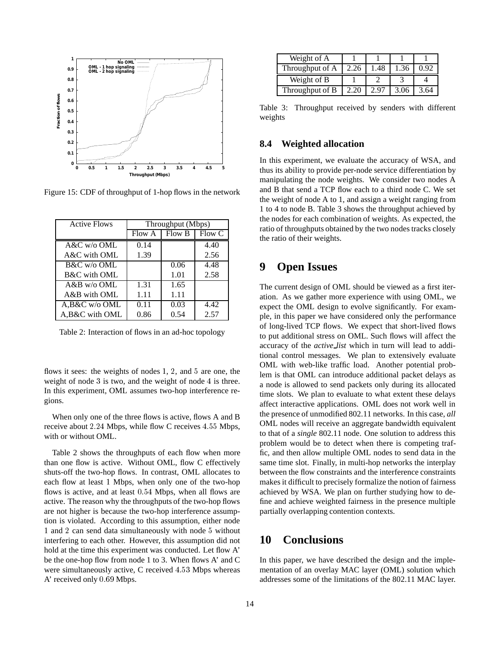

Figure 15: CDF of throughput of 1-hop flows in the network

| <b>Active Flows</b> | Throughput (Mbps) |        |               |  |
|---------------------|-------------------|--------|---------------|--|
|                     | Flow A            | Flow B | <b>Flow C</b> |  |
| $A&C$ w/o OML       | 0.14              |        | 4.40          |  |
| A&C with OML        | 1.39              |        | 2.56          |  |
| B&C w/o OML         |                   | 0.06   | 4.48          |  |
| B&C with OML        |                   | 1.01   | 2.58          |  |
| $A&B$ w/o OML       | 1.31              | 1.65   |               |  |
| A&B with OML        | 1.11              | 1.11   |               |  |
| A,B&C w/o OML       | 0.11              | 0.03   | 4.42          |  |
| A, B&C with OML     | 0.86              | 0.54   | 2.57          |  |

Table 2: Interaction of flows in an ad-hoc topology

flows it sees: the weights of nodes <sup>1</sup>, <sup>2</sup>, and <sup>5</sup> are one, the weight of node <sup>3</sup> is two, and the weight of node <sup>4</sup> is three. In this experiment, OML assumes two-hop interference regions.

When only one of the three flows is active, flows A and B receive about 2.24 Mbps, while flow C receives 4.55 Mbps, with or without OML.

Table 2 shows the throughputs of each flow when more than one flow is active. Without OML, flow C effectively shuts-off the two-hop flows. In contrast, OML allocates to each flow at least <sup>1</sup> Mbps, when only one of the two-hop flows is active, and at least 0:54 Mbps, when all flows are active. The reason why the throughputs of the two-hop flows are not higher is because the two-hop interference assumption is violated. According to this assumption, either node 1 and <sup>2</sup> can send data simultaneously with node <sup>5</sup> without interfering to each other. However, this assumption did not hold at the time this experiment was conducted. Let flow A' be the one-hop flow from node 1 to 3. When flows A' and C were simultaneously active, C received 4:53 Mbps whereas A' received only 0:69 Mbps.

| Weight of A     |      |     |      |  |
|-----------------|------|-----|------|--|
| Throughput of A | 2.26 | .48 | 1.36 |  |
|                 |      |     |      |  |
| Weight of B     |      |     |      |  |

Table 3: Throughput received by senders with different weights

### **8.4 Weighted allocation**

In this experiment, we evaluate the accuracy of WSA, and thus its ability to provide per-node service differentiation by manipulating the node weights. We consider two nodes A and B that send a TCP flow each to a third node C. We set the weight of node A to 1, and assign a weight ranging from 1 to 4 to node B. Table 3 shows the throughput achieved by the nodes for each combination of weights. As expected, the ratio of throughputs obtained by the two nodes tracks closely the ratio of their weights.

## **9 Open Issues**

The current design of OML should be viewed as a first iteration. As we gather more experience with using OML, we expect the OML design to evolve significantly. For example, in this paper we have considered only the performance of long-lived TCP flows. We expect that short-lived flows to put additional stress on OML. Such flows will affect the accuracy of the *active list* which in turn will lead to additional control messages. We plan to extensively evaluate OML with web-like traffic load. Another potential problem is that OML can introduce additional packet delays as a node is allowed to send packets only during its allocated time slots. We plan to evaluate to what extent these delays affect interactive applications. OML does not work well in the presence of unmodified 802.11 networks. In this case, *all* OML nodes will receive an aggregate bandwidth equivalent to that of a *single* 802.11 node. One solution to address this problem would be to detect when there is competing traffic, and then allow multiple OML nodes to send data in the same time slot. Finally, in multi-hop networks the interplay between the flow constraints and the interference constraints makes it difficult to precisely formalize the notion of fairness achieved by WSA. We plan on further studying how to define and achieve weighted fairness in the presence multiple partially overlapping contention contexts.

# **10 Conclusions**

In this paper, we have described the design and the implementation of an overlay MAC layer (OML) solution which addresses some of the limitations of the 802.11 MAC layer.